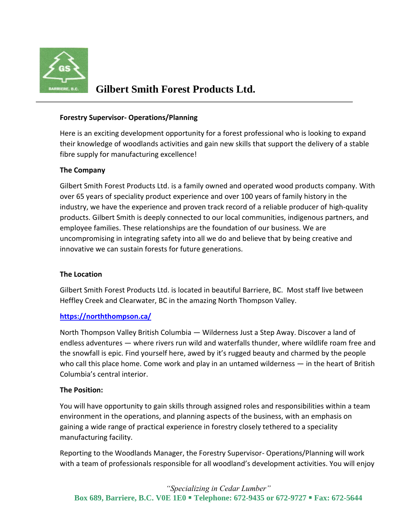

# **Gilbert Smith Forest Products Ltd.**

### **Forestry Supervisor- Operations/Planning**

Here is an exciting development opportunity for a forest professional who is looking to expand their knowledge of woodlands activities and gain new skills that support the delivery of a stable fibre supply for manufacturing excellence!

#### **The Company**

Gilbert Smith Forest Products Ltd. is a family owned and operated wood products company. With over 65 years of speciality product experience and over 100 years of family history in the industry, we have the experience and proven track record of a reliable producer of high-quality products. Gilbert Smith is deeply connected to our local communities, indigenous partners, and employee families. These relationships are the foundation of our business. We are uncompromising in integrating safety into all we do and believe that by being creative and innovative we can sustain forests for future generations.

#### **The Location**

Gilbert Smith Forest Products Ltd. is located in beautiful Barriere, BC. Most staff live between Heffley Creek and Clearwater, BC in the amazing North Thompson Valley.

## **<https://norththompson.ca/>**

[North Thompson Valley British Columbia](https://norththompson.ca/plan/our-story/) — Wilderness Just a Step Away. Discover a land of endless adventures — where rivers run wild and waterfalls thunder, where [wildlife](https://norththompson.ca/things-to-do/bear-viewing/) roam free and the snowfall is epic. Find yourself here, awed by it's rugged beauty and charmed by the people who call this place home. Come work and play in an untamed wilderness — in the heart of British [Columbia's central interior](https://norththompson.ca/destinations/natural-wonders/).

#### **The Position:**

You will have opportunity to gain skills through assigned roles and responsibilities within a team environment in the operations, and planning aspects of the business, with an emphasis on gaining a wide range of practical experience in forestry closely tethered to a speciality manufacturing facility.

Reporting to the Woodlands Manager, the Forestry Supervisor- Operations/Planning will work with a team of professionals responsible for all woodland's development activities. You will enjoy